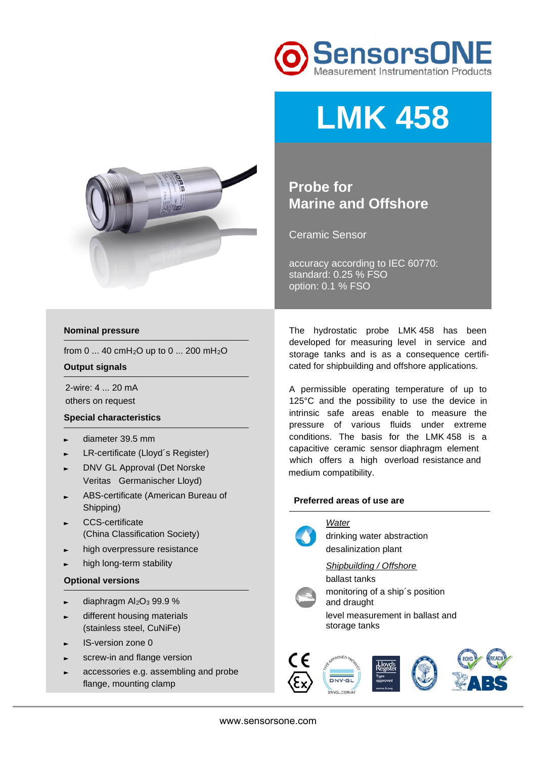



# **LMK 458**

# **Probe for Marine and Offshore**

Ceramic Sensor

accuracy according to IEC 60770: standard: 0.25 % FSO option: 0.1 % FSO

#### **Nominal pressure**

from 0 ... 40 cmH<sub>2</sub>O up to 0 ... 200 mH<sub>2</sub>O

#### **Output signals**

2-wire: 4 ... 20 mA others on request

## **Special characteristics**

- diameter 39.5 mm
- ► LR-certificate (Lloyd´s Register)
- ► DNV GL Approval (Det Norske Veritas Germanischer Lloyd)
- ► ABS-certificate (American Bureau of Shipping)
- ► CCS-certificate (China Classification Society)
- high overpressure resistance
- high long-term stability

#### **Optional versions**

- diaphragm Al<sub>2</sub>O<sub>3</sub> 99.9 %
- different housing materials (stainless steel, CuNiFe)
- ► IS-version zone 0
- screw-in and flange version
- accessories e.g. assembling and probe flange, mounting clamp

The hydrostatic probe LMK 458 has been developed for measuring level in service and storage tanks and is as a consequence certificated for shipbuilding and offshore applications.

A permissible operating temperature of up to 125°C and the possibility to use the device in intrinsic safe areas enable to measure the pressure of various fluids under extreme conditions. The basis for the LMK 458 is a capacitive ceramic sensor diaphragm element which offers a high overload resistance and medium compatibility.

## **Preferred areas of use are**



drinking water abstraction desalinization plant

*Shipbuilding / Offshore*  ballast tanks



monitoring of a ship´s position and draught level measurement in ballast and storage tanks

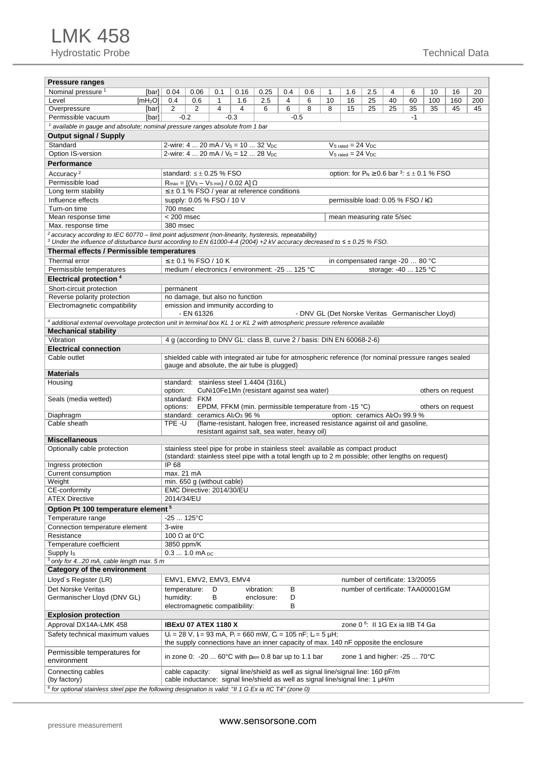| <b>Pressure ranges</b>                                                                                                                    |                                                        |            |                |        |                                                                                                                                                                      |        |     |    |                       |                                             |                                               |                      |                                                                  |                   |     |  |  |
|-------------------------------------------------------------------------------------------------------------------------------------------|--------------------------------------------------------|------------|----------------|--------|----------------------------------------------------------------------------------------------------------------------------------------------------------------------|--------|-----|----|-----------------------|---------------------------------------------|-----------------------------------------------|----------------------|------------------------------------------------------------------|-------------------|-----|--|--|
| Nominal pressure <sup>1</sup><br>[bar]                                                                                                    | 0.04                                                   | 0.06       | 0.1            | 0.16   | 0.25                                                                                                                                                                 | 0.4    | 0.6 | 1  | 1.6                   | 2.5                                         | 4                                             | 6                    | 10                                                               | 16                | 20  |  |  |
| Level<br>[mH <sub>2</sub> O]                                                                                                              | 0.4                                                    | 0.6        | 1              | 1.6    | 2.5                                                                                                                                                                  | 4      | 6   | 10 | 16                    | 25                                          | 40                                            | 60                   | 100                                                              | 160               | 200 |  |  |
| Overpressure<br>[bar]                                                                                                                     | 2                                                      | 2          | $\overline{4}$ | 4      | 6                                                                                                                                                                    | 6      | 8   | 8  | 15                    | 25                                          | 25                                            | 35                   | 35                                                               | 45                | 45  |  |  |
| Permissible vacuum<br>[bar]                                                                                                               | $-0.2$                                                 |            |                | $-0.3$ |                                                                                                                                                                      | $-0.5$ |     |    |                       |                                             |                                               | $-1$                 |                                                                  |                   |     |  |  |
| $^1$ available in gauge and absolute; nominal pressure ranges absolute from 1 bar                                                         |                                                        |            |                |        |                                                                                                                                                                      |        |     |    |                       |                                             |                                               |                      |                                                                  |                   |     |  |  |
| <b>Output signal / Supply</b>                                                                                                             |                                                        |            |                |        |                                                                                                                                                                      |        |     |    |                       |                                             |                                               |                      |                                                                  |                   |     |  |  |
| Standard                                                                                                                                  |                                                        |            |                |        | 2-wire: 4  20 mA / $V_s$ = 10  32 $V_{DC}$                                                                                                                           |        |     |    | $VS$ rated = 24 $VDC$ |                                             |                                               |                      |                                                                  |                   |     |  |  |
| Option IS-version                                                                                                                         |                                                        |            |                |        | 2-wire: 4  20 mA / V <sub>S</sub> = 12  28 V <sub>DC</sub>                                                                                                           |        |     |    | $VS$ rated = 24 $VDC$ |                                             |                                               |                      |                                                                  |                   |     |  |  |
| Performance                                                                                                                               |                                                        |            |                |        |                                                                                                                                                                      |        |     |    |                       |                                             |                                               |                      |                                                                  |                   |     |  |  |
| Accuracy <sup>2</sup>                                                                                                                     | standard: $\leq \pm 0.25$ % FSO                        |            |                |        |                                                                                                                                                                      |        |     |    |                       |                                             |                                               |                      | option: for $P_N \ge 0.6$ bar <sup>3</sup> : $\le \pm 0.1$ % FSO |                   |     |  |  |
| Permissible load                                                                                                                          | $R_{max} = [(V_S - V_{S min}) / 0.02 A] \Omega$        |            |                |        |                                                                                                                                                                      |        |     |    |                       |                                             |                                               |                      |                                                                  |                   |     |  |  |
| Long term stability                                                                                                                       |                                                        |            |                |        | $\leq \pm 0.1$ % FSO / year at reference conditions                                                                                                                  |        |     |    |                       |                                             |                                               |                      |                                                                  |                   |     |  |  |
| Influence effects                                                                                                                         | supply: 0.05 % FSO / 10 V                              |            |                |        |                                                                                                                                                                      |        |     |    |                       | permissible load: 0.05 % FSO / kΩ           |                                               |                      |                                                                  |                   |     |  |  |
| Turn-on time                                                                                                                              | 700 msec                                               |            |                |        |                                                                                                                                                                      |        |     |    |                       |                                             |                                               |                      |                                                                  |                   |     |  |  |
| Mean response time                                                                                                                        | $< 200$ msec                                           |            |                |        |                                                                                                                                                                      |        |     |    |                       | mean measuring rate 5/sec                   |                                               |                      |                                                                  |                   |     |  |  |
| Max. response time                                                                                                                        | 380 msec                                               |            |                |        |                                                                                                                                                                      |        |     |    |                       |                                             |                                               |                      |                                                                  |                   |     |  |  |
| <sup>2</sup> accuracy according to IEC 60770 - limit point adjustment (non-linearity, hysteresis, repeatability)                          |                                                        |            |                |        |                                                                                                                                                                      |        |     |    |                       |                                             |                                               |                      |                                                                  |                   |     |  |  |
| <sup>3</sup> Under the influence of disturbance burst according to EN 61000-4-4 (2004) +2 kV accuracy decreased to $\leq \pm$ 0.25 % FSO. |                                                        |            |                |        |                                                                                                                                                                      |        |     |    |                       |                                             |                                               |                      |                                                                  |                   |     |  |  |
| Thermal effects / Permissible temperatures                                                                                                |                                                        |            |                |        |                                                                                                                                                                      |        |     |    |                       |                                             |                                               |                      |                                                                  |                   |     |  |  |
| Thermal error                                                                                                                             | $\leq$ ± 0.1 % FSO / 10 K                              |            |                |        |                                                                                                                                                                      |        |     |    |                       | in compensated range -20  80 °C             |                                               |                      |                                                                  |                   |     |  |  |
| Permissible temperatures                                                                                                                  |                                                        |            |                |        | medium / electronics / environment: -25  125 °C                                                                                                                      |        |     |    |                       |                                             |                                               | storage: -40  125 °C |                                                                  |                   |     |  |  |
| Electrical protection <sup>4</sup>                                                                                                        |                                                        |            |                |        |                                                                                                                                                                      |        |     |    |                       |                                             |                                               |                      |                                                                  |                   |     |  |  |
| Short-circuit protection                                                                                                                  | permanent                                              |            |                |        |                                                                                                                                                                      |        |     |    |                       |                                             |                                               |                      |                                                                  |                   |     |  |  |
| Reverse polarity protection                                                                                                               | no damage, but also no function                        |            |                |        |                                                                                                                                                                      |        |     |    |                       |                                             |                                               |                      |                                                                  |                   |     |  |  |
| Electromagnetic compatibility                                                                                                             | emission and immunity according to                     |            |                |        |                                                                                                                                                                      |        |     |    |                       |                                             |                                               |                      |                                                                  |                   |     |  |  |
|                                                                                                                                           |                                                        | - EN 61326 |                |        |                                                                                                                                                                      |        |     |    |                       |                                             |                                               |                      | - DNV GL (Det Norske Veritas Germanischer Lloyd)                 |                   |     |  |  |
| 4 additional external overvoltage protection unit in terminal box KL 1 or KL 2 with atmospheric pressure reference available              |                                                        |            |                |        |                                                                                                                                                                      |        |     |    |                       |                                             |                                               |                      |                                                                  |                   |     |  |  |
| <b>Mechanical stability</b>                                                                                                               |                                                        |            |                |        |                                                                                                                                                                      |        |     |    |                       |                                             |                                               |                      |                                                                  |                   |     |  |  |
| Vibration                                                                                                                                 |                                                        |            |                |        | 4 g (according to DNV GL: class B, curve 2 / basis: DIN EN 60068-2-6)                                                                                                |        |     |    |                       |                                             |                                               |                      |                                                                  |                   |     |  |  |
| <b>Electrical connection</b>                                                                                                              |                                                        |            |                |        |                                                                                                                                                                      |        |     |    |                       |                                             |                                               |                      |                                                                  |                   |     |  |  |
| Cable outlet                                                                                                                              |                                                        |            |                |        | shielded cable with integrated air tube for atmospheric reference (for nominal pressure ranges sealed                                                                |        |     |    |                       |                                             |                                               |                      |                                                                  |                   |     |  |  |
|                                                                                                                                           |                                                        |            |                |        | gauge and absolute, the air tube is plugged)                                                                                                                         |        |     |    |                       |                                             |                                               |                      |                                                                  |                   |     |  |  |
| <b>Materials</b>                                                                                                                          |                                                        |            |                |        |                                                                                                                                                                      |        |     |    |                       |                                             |                                               |                      |                                                                  |                   |     |  |  |
| Housing                                                                                                                                   |                                                        |            |                |        | standard: stainless steel 1.4404 (316L)                                                                                                                              |        |     |    |                       |                                             |                                               |                      |                                                                  |                   |     |  |  |
|                                                                                                                                           | option:                                                |            |                |        | CuNi10Fe1Mn (resistant against sea water)                                                                                                                            |        |     |    |                       |                                             |                                               |                      |                                                                  | others on request |     |  |  |
| Seals (media wetted)                                                                                                                      | standard: FKM<br>options:                              |            |                |        | EPDM, FFKM (min. permissible temperature from -15 °C)                                                                                                                |        |     |    |                       |                                             |                                               |                      |                                                                  | others on request |     |  |  |
| Diaphragm                                                                                                                                 | standard: ceramics Al <sub>2</sub> O <sub>3</sub> 96 % |            |                |        |                                                                                                                                                                      |        |     |    |                       | option: ceramics AbO <sub>3</sub> 99.9 %    |                                               |                      |                                                                  |                   |     |  |  |
|                                                                                                                                           |                                                        |            |                |        | (flame-resistant, halogen free, increased resistance against oil and gasoline,                                                                                       |        |     |    |                       |                                             |                                               |                      |                                                                  |                   |     |  |  |
|                                                                                                                                           |                                                        |            |                |        |                                                                                                                                                                      |        |     |    |                       |                                             |                                               |                      |                                                                  |                   |     |  |  |
| Cable sheath                                                                                                                              | TPE -U                                                 |            |                |        |                                                                                                                                                                      |        |     |    |                       |                                             | resistant against salt, sea water, heavy oil) |                      |                                                                  |                   |     |  |  |
| <b>Miscellaneous</b>                                                                                                                      |                                                        |            |                |        |                                                                                                                                                                      |        |     |    |                       |                                             |                                               |                      |                                                                  |                   |     |  |  |
| Optionally cable protection                                                                                                               |                                                        |            |                |        | stainless steel pipe for probe in stainless steel: available as compact product                                                                                      |        |     |    |                       |                                             |                                               |                      |                                                                  |                   |     |  |  |
|                                                                                                                                           |                                                        |            |                |        | (standard: stainless steel pipe with a total length up to 2 m possible; other lengths on request)                                                                    |        |     |    |                       |                                             |                                               |                      |                                                                  |                   |     |  |  |
| Ingress protection                                                                                                                        | IP 68                                                  |            |                |        |                                                                                                                                                                      |        |     |    |                       |                                             |                                               |                      |                                                                  |                   |     |  |  |
| Current consumption                                                                                                                       | max. 21 mA                                             |            |                |        |                                                                                                                                                                      |        |     |    |                       |                                             |                                               |                      |                                                                  |                   |     |  |  |
| Weight                                                                                                                                    | min. 650 g (without cable)                             |            |                |        |                                                                                                                                                                      |        |     |    |                       |                                             |                                               |                      |                                                                  |                   |     |  |  |
| CE-conformity                                                                                                                             | EMC Directive: 2014/30/EU                              |            |                |        |                                                                                                                                                                      |        |     |    |                       |                                             |                                               |                      |                                                                  |                   |     |  |  |
| <b>ATEX Directive</b>                                                                                                                     | 2014/34/EU                                             |            |                |        |                                                                                                                                                                      |        |     |    |                       |                                             |                                               |                      |                                                                  |                   |     |  |  |
| Option Pt 100 temperature element <sup>5</sup>                                                                                            |                                                        |            |                |        |                                                                                                                                                                      |        |     |    |                       |                                             |                                               |                      |                                                                  |                   |     |  |  |
| Temperature range                                                                                                                         | -25  125°C                                             |            |                |        |                                                                                                                                                                      |        |     |    |                       |                                             |                                               |                      |                                                                  |                   |     |  |  |
| Connection temperature element                                                                                                            | 3-wire                                                 |            |                |        |                                                                                                                                                                      |        |     |    |                       |                                             |                                               |                      |                                                                  |                   |     |  |  |
| Resistance                                                                                                                                | 100 $\Omega$ at 0°C                                    |            |                |        |                                                                                                                                                                      |        |     |    |                       |                                             |                                               |                      |                                                                  |                   |     |  |  |
| Temperature coefficient                                                                                                                   | 3850 ppm/K                                             |            |                |        |                                                                                                                                                                      |        |     |    |                       |                                             |                                               |                      |                                                                  |                   |     |  |  |
| Supply I <sub>S</sub>                                                                                                                     | $0.31.0$ mA <sub>DC</sub>                              |            |                |        |                                                                                                                                                                      |        |     |    |                       |                                             |                                               |                      |                                                                  |                   |     |  |  |
| $5$ only for 420 mA, cable length max. $5$ m                                                                                              |                                                        |            |                |        |                                                                                                                                                                      |        |     |    |                       |                                             |                                               |                      |                                                                  |                   |     |  |  |
| Category of the environment                                                                                                               |                                                        |            |                |        |                                                                                                                                                                      |        |     |    |                       |                                             |                                               |                      |                                                                  |                   |     |  |  |
| Lloyd's Register (LR)                                                                                                                     | EMV1, EMV2, EMV3, EMV4                                 |            |                |        |                                                                                                                                                                      |        |     |    |                       | number of certificate: 13/20055             |                                               |                      |                                                                  |                   |     |  |  |
| Det Norske Veritas                                                                                                                        | temperature:                                           |            | D              |        | vibration:                                                                                                                                                           | В      |     |    |                       |                                             |                                               |                      | number of certificate: TAA00001GM                                |                   |     |  |  |
| Germanischer Lloyd (DNV GL)                                                                                                               | humidity:                                              |            | в              |        | enclosure:                                                                                                                                                           | D      |     |    |                       |                                             |                                               |                      |                                                                  |                   |     |  |  |
|                                                                                                                                           | electromagnetic compatibility:                         |            |                |        |                                                                                                                                                                      | В      |     |    |                       |                                             |                                               |                      |                                                                  |                   |     |  |  |
| <b>Explosion protection</b>                                                                                                               |                                                        |            |                |        |                                                                                                                                                                      |        |     |    |                       |                                             |                                               |                      |                                                                  |                   |     |  |  |
| Approval DX14A-LMK 458                                                                                                                    | <b>IBExU 07 ATEX 1180 X</b>                            |            |                |        |                                                                                                                                                                      |        |     |    |                       | zone 0 <sup>6</sup> : Il 1G Ex ia IIB T4 Ga |                                               |                      |                                                                  |                   |     |  |  |
| Safety technical maximum values                                                                                                           |                                                        |            |                |        | $U_i = 28$ V, $i = 93$ mA, $P_i = 660$ mW, $C_i = 105$ nF; $L_i = 5$ $\mu$ H;<br>the supply connections have an inner capacity of max. 140 nF opposite the enclosure |        |     |    |                       |                                             |                                               |                      |                                                                  |                   |     |  |  |
| Permissible temperatures for<br>environment                                                                                               |                                                        |            |                |        | in zone 0: $-20$ 60°C with $p_{\text{atm}}$ 0.8 bar up to 1.1 bar                                                                                                    |        |     |    |                       | zone 1 and higher: $-25$ 70 $\degree$ C     |                                               |                      |                                                                  |                   |     |  |  |
| Connecting cables<br>(by factory)                                                                                                         | cable capacity:                                        |            |                |        | signal line/shield as well as signal line/signal line: 160 pF/m<br>cable inductance: signal line/shield as well as signal line/signal line: 1 µH/m                   |        |     |    |                       |                                             |                                               |                      |                                                                  |                   |     |  |  |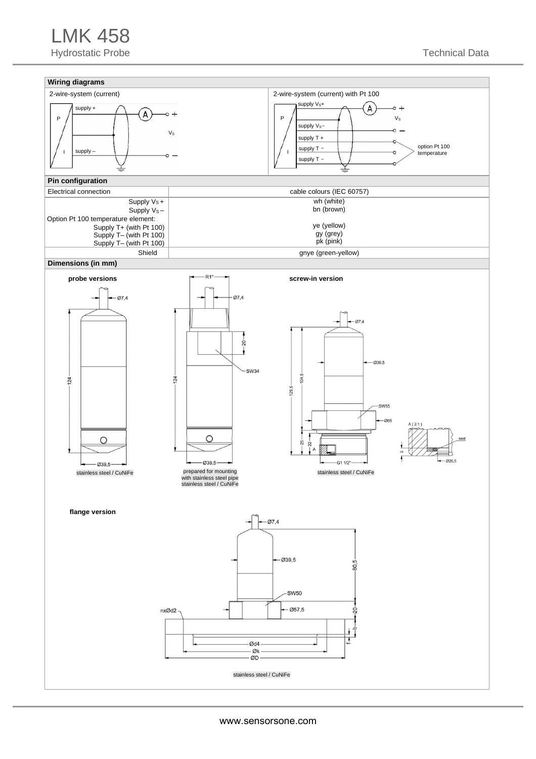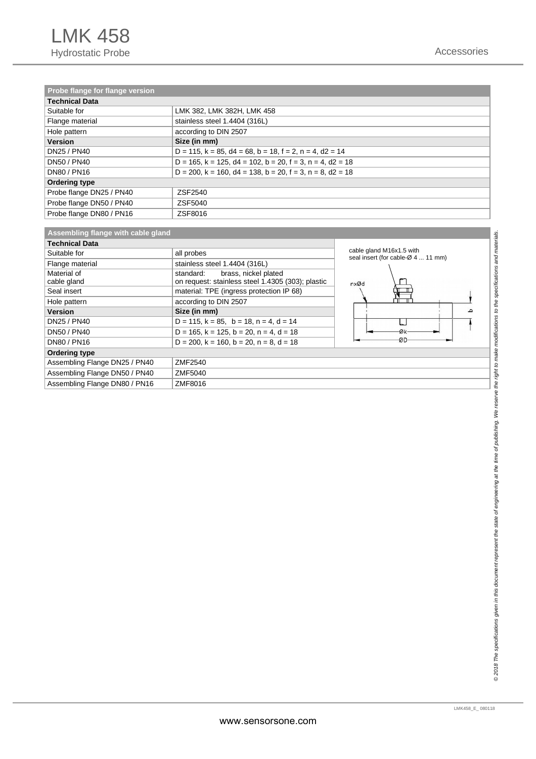| Probe flange for flange version |                                                                               |
|---------------------------------|-------------------------------------------------------------------------------|
| <b>Technical Data</b>           |                                                                               |
| Suitable for                    | LMK 382, LMK 382H, LMK 458                                                    |
| Flange material                 | stainless steel 1.4404 (316L)                                                 |
| Hole pattern                    | according to DIN 2507                                                         |
| <b>Version</b>                  | Size (in mm)                                                                  |
| DN25 / PN40                     | $D = 115$ , $k = 85$ , $d4 = 68$ , $b = 18$ , $f = 2$ , $n = 4$ , $d2 = 14$   |
| DN50 / PN40                     | $D = 165$ , $k = 125$ , $d4 = 102$ , $b = 20$ , $f = 3$ , $n = 4$ , $d2 = 18$ |
| DN80 / PN16                     | $D = 200$ , $k = 160$ , $d4 = 138$ , $b = 20$ , $f = 3$ , $n = 8$ , $d2 = 18$ |
| Ordering type                   |                                                                               |
| Probe flange DN25 / PN40        | ZSF2540                                                                       |
| Probe flange DN50 / PN40        | ZSF5040                                                                       |
| Probe flange DN80 / PN16        | ZSF8016                                                                       |

**Assembling flange with cable gland** 

| <b>Technical Data</b>         |                                                                                        |                                                                |
|-------------------------------|----------------------------------------------------------------------------------------|----------------------------------------------------------------|
| Suitable for                  | all probes                                                                             | cable gland M16x1.5 with<br>seal insert (for cable-Ø 4  11 mm) |
| Flange material               | stainless steel 1.4404 (316L)                                                          |                                                                |
| Material of<br>cable gland    | brass, nickel plated<br>standard:<br>on request: stainless steel 1.4305 (303); plastic |                                                                |
| Seal insert                   | material: TPE (ingress protection IP 68)                                               | nxØd                                                           |
| Hole pattern                  | according to DIN 2507                                                                  |                                                                |
| <b>Version</b>                | Size (in mm)                                                                           |                                                                |
| DN25 / PN40                   | $D = 115$ , $k = 85$ , $b = 18$ , $n = 4$ , $d = 14$                                   |                                                                |
| <b>DN50 / PN40</b>            | $D = 165$ , $k = 125$ , $b = 20$ , $n = 4$ , $d = 18$                                  | Øk                                                             |
| DN80 / PN16                   | $D = 200$ , $k = 160$ , $b = 20$ , $n = 8$ , $d = 18$                                  | ØD                                                             |
| Ordering type                 |                                                                                        |                                                                |
| Assembling Flange DN25 / PN40 | ZMF2540                                                                                |                                                                |
| Assembling Flange DN50 / PN40 | ZMF5040                                                                                |                                                                |
| Assembling Flange DN80 / PN16 | ZMF8016                                                                                |                                                                |